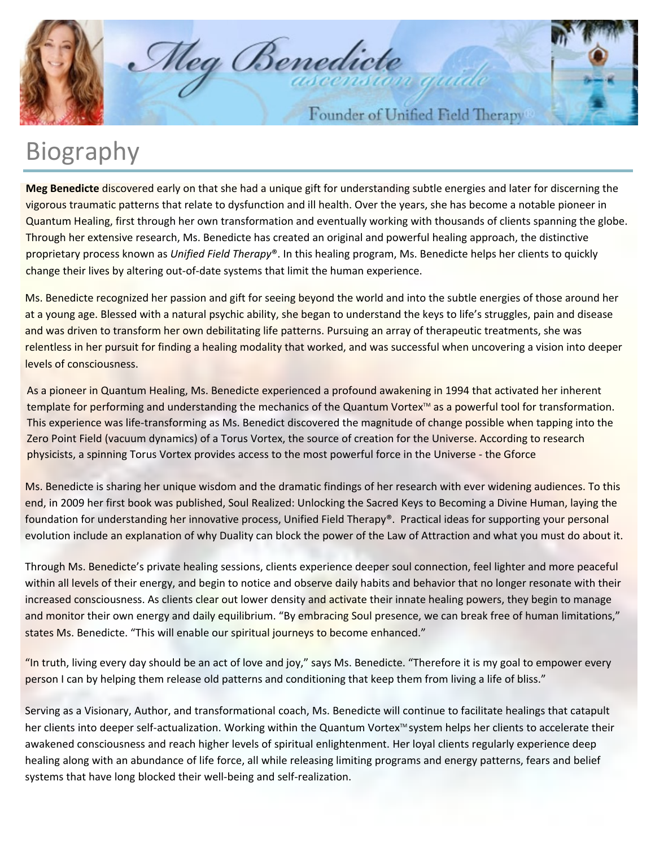

Meg Benedicte

Founder of Unified Field Therapy

## Biography

**Meg Benedicte** discovered early on that she had a unique gift for understanding subtle energies and later for discerning the vigorous traumatic patterns that relate to dysfunction and ill health. Over the years, she has become a notable pioneer in Quantum Healing, first through her own transformation and eventually working with thousands of clients spanning the globe. Through her extensive research, Ms. Benedicte has created an original and powerful healing approach, the distinctive proprietary process known as *Unified Field Therapy*®. In this healing program, Ms. Benedicte helps her clients to quickly change their lives by altering out-of-date systems that limit the human experience.

Ms. Benedicte recognized her passion and gift for seeing beyond the world and into the subtle energies of those around her at a young age. Blessed with a natural psychic ability, she began to understand the keys to life's struggles, pain and disease and was driven to transform her own debilitating life patterns. Pursuing an array of therapeutic treatments, she was relentless in her pursuit for finding a healing modality that worked, and was successful when uncovering a vision into deeper levels of consciousness.

As a pioneer in Quantum Healing, Ms. Benedicte experienced a profound awakening in 1994 that activated her inherent template for performing and understanding the mechanics of the Quantum Vortex $M$  as a powerful tool for transformation. This experience was life-transforming as Ms. Benedict discovered the magnitude of change possible when tapping into the Zero Point Field (vacuum dynamics) of a Torus Vortex, the source of creation for the Universe. According to research physicists, a spinning Torus Vortex provides access to the most powerful force in the Universe - the Gforce

Ms. Benedicte is sharing her unique wisdom and the dramatic findings of her research with ever widening audiences. To this end, in 2009 her first book was published, Soul Realized: Unlocking the Sacred Keys to Becoming a Divine Human, laying the foundation for understanding her innovative process, Unified Field Therapy®. Practical ideas for supporting your personal evolution include an explanation of why Duality can block the power of the Law of Attraction and what you must do about it.

Through Ms. Benedicte's private healing sessions, clients experience deeper soul connection, feel lighter and more peaceful within all levels of their energy, and begin to notice and observe daily habits and behavior that no longer resonate with their increased consciousness. As clients clear out lower density and activate their innate healing powers, they begin to manage and monitor their own energy and daily equilibrium. "By embracing Soul presence, we can break free of human limitations," states Ms. Benedicte. "This will enable our spiritual journeys to become enhanced."

"In truth, living every day should be an act of love and joy," says Ms. Benedicte. "Therefore it is my goal to empower every person I can by helping them release old patterns and conditioning that keep them from living a life of bliss."

Serving as a Visionary, Author, and transformational coach, Ms. Benedicte will continue to facilitate healings that catapult her clients into deeper self-actualization. Working within the Quantum Vortex™ system helps her clients to accelerate their awakened consciousness and reach higher levels of spiritual enlightenment. Her loyal clients regularly experience deep healing along with an abundance of life force, all while releasing limiting programs and energy patterns, fears and belief systems that have long blocked their well-being and self-realization.